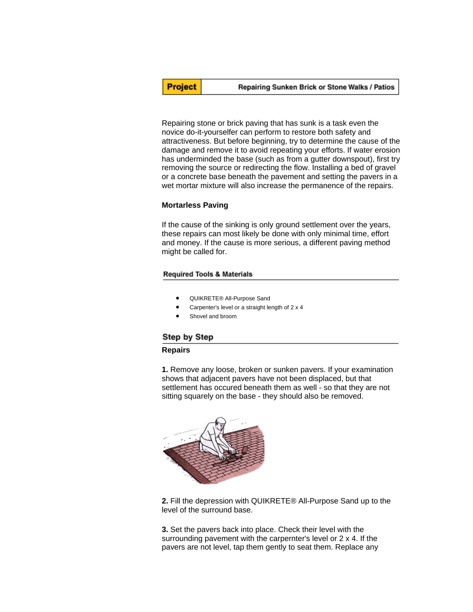Repairing stone or brick paving that has sunk is a task even the novice do-it-yourselfer can perform to restore both safety and attractiveness. But before beginning, try to determine the cause of the damage and remove it to avoid repeating your efforts. If water erosion has underminded the base (such as from a gutter downspout), first try removing the source or redirecting the flow. Installing a bed of gravel or a concrete base beneath the pavement and setting the pavers in a wet mortar mixture will also increase the permanence of the repairs.

#### **Mortarless Paving**

If the cause of the sinking is only ground settlement over the years, these repairs can most likely be done with only minimal time, effort and money. If the cause is more serious, a different paving method might be called for.

#### **Required Tools & Materials**

- QUIKRETE® All-Purpose Sand
- Carpenter's level or a straight length of 2 x 4
- Shovel and broom

# Step by Step

## **Repairs**

**1.** Remove any loose, broken or sunken pavers. If your examination shows that adjacent pavers have not been displaced, but that settlement has occured beneath them as well - so that they are not sitting squarely on the base - they should also be removed.



**2.** Fill the depression with QUIKRETE® All-Purpose Sand up to the level of the surround base.

**3.** Set the pavers back into place. Check their level with the surrounding pavement with the carpernter's level or 2 x 4. If the pavers are not level, tap them gently to seat them. Replace any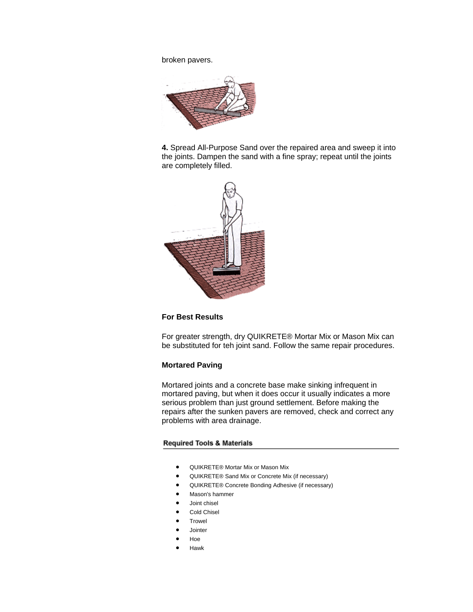broken pavers.



**4.** Spread All-Purpose Sand over the repaired area and sweep it into the joints. Dampen the sand with a fine spray; repeat until the joints are completely filled.



#### **For Best Results**

For greater strength, dry QUIKRETE® Mortar Mix or Mason Mix can be substituted for teh joint sand. Follow the same repair procedures.

# **Mortared Paving**

Mortared joints and a concrete base make sinking infrequent in mortared paving, but when it does occur it usually indicates a more serious problem than just ground settlement. Before making the repairs after the sunken pavers are removed, check and correct any problems with area drainage.

#### **Required Tools & Materials**

- QUIKRETE® Mortar Mix or Mason Mix
- QUIKRETE® Sand Mix or Concrete Mix (if necessary)
- QUIKRETE® Concrete Bonding Adhesive (if necessary)
- Mason's hammer
- Joint chisel
- Cold Chisel
- **Trowel**
- **Jointer**
- Hoe
- Hawk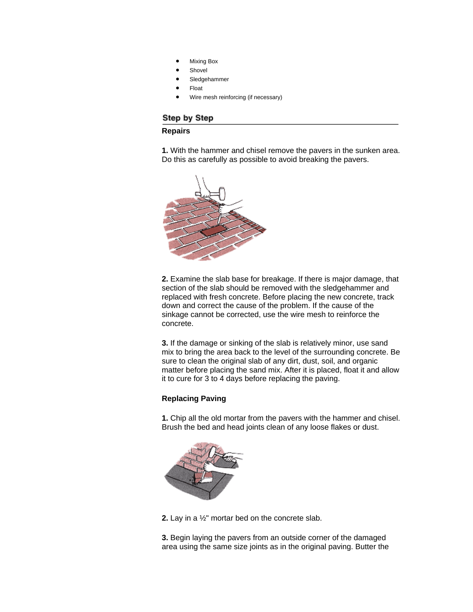- Mixing Box
- **Shovel**
- Sledgehammer
- Float
- Wire mesh reinforcing (if necessary)

# Step by Step

## **Repairs**

**1.** With the hammer and chisel remove the pavers in the sunken area. Do this as carefully as possible to avoid breaking the pavers.



**2.** Examine the slab base for breakage. If there is major damage, that section of the slab should be removed with the sledgehammer and replaced with fresh concrete. Before placing the new concrete, track down and correct the cause of the problem. If the cause of the sinkage cannot be corrected, use the wire mesh to reinforce the concrete.

**3.** If the damage or sinking of the slab is relatively minor, use sand mix to bring the area back to the level of the surrounding concrete. Be sure to clean the original slab of any dirt, dust, soil, and organic matter before placing the sand mix. After it is placed, float it and allow it to cure for 3 to 4 days before replacing the paving.

# **Replacing Paving**

**1.** Chip all the old mortar from the pavers with the hammer and chisel. Brush the bed and head joints clean of any loose flakes or dust.



**2.** Lay in a ½" mortar bed on the concrete slab.

**3.** Begin laying the pavers from an outside corner of the damaged area using the same size joints as in the original paving. Butter the